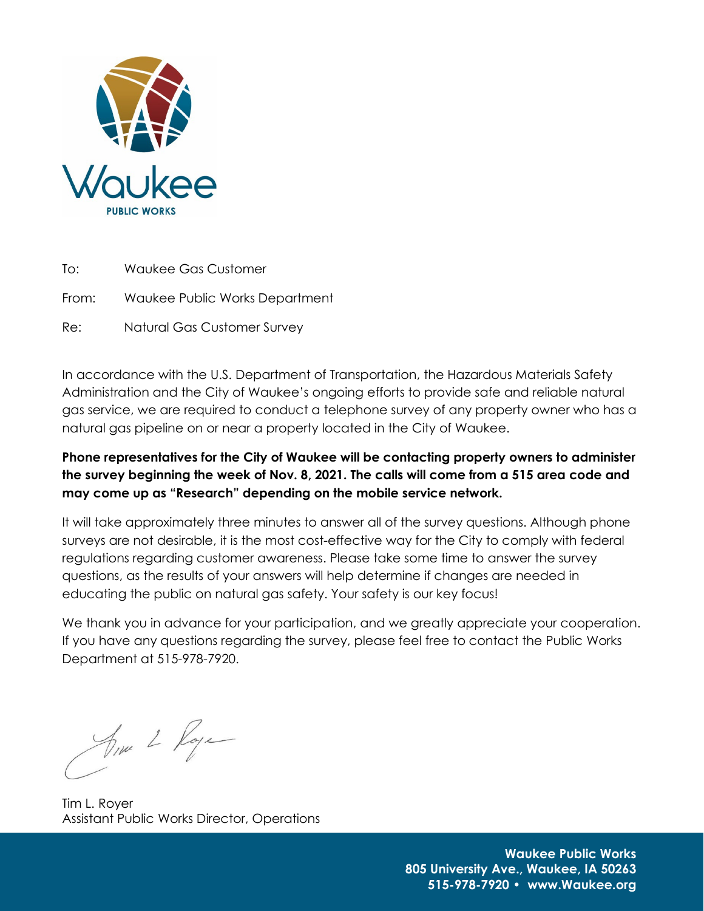

To: Waukee Gas Customer

From: Waukee Public Works Department

Re: Natural Gas Customer Survey

In accordance with the U.S. Department of Transportation, the Hazardous Materials Safety Administration and the City of Waukee's ongoing efforts to provide safe and reliable natural gas service, we are required to conduct a telephone survey of any property owner who has a natural gas pipeline on or near a property located in the City of Waukee.

**Phone representatives for the City of Waukee will be contacting property owners to administer the survey beginning the week of Nov. 8, 2021. The calls will come from a 515 area code and may come up as "Research" depending on the mobile service network.**

It will take approximately three minutes to answer all of the survey questions. Although phone surveys are not desirable, it is the most cost-effective way for the City to comply with federal regulations regarding customer awareness. Please take some time to answer the survey questions, as the results of your answers will help determine if changes are needed in educating the public on natural gas safety. Your safety is our key focus!

We thank you in advance for your participation, and we greatly appreciate your cooperation. If you have any questions regarding the survey, please feel free to contact the Public Works Department at 515-978-7920.

Anne 2 Roye

Tim L. Royer Assistant Public Works Director, Operations

**Waukee Public Works 805 University Ave., Waukee, IA 50263 515-978-7920 • www.Waukee.org**